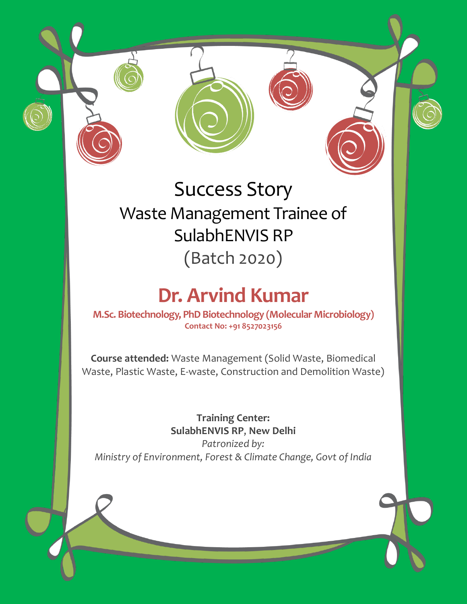

## Success Story Waste Management Trainee of SulabhENVIS RP (Batch 2020)

## **Dr. Arvind Kumar**

**M.Sc. Biotechnology, PhD Biotechnology (Molecular Microbiology) Contact No: +91 8527023156**

**Course attended:** Waste Management (Solid Waste, Biomedical Waste, Plastic Waste, E-waste, Construction and Demolition Waste)

> **Training Center: SulabhENVIS RP**, **New Delhi**

*Patronized by: Ministry of Environment, Forest & Climate Change, Govt of India*